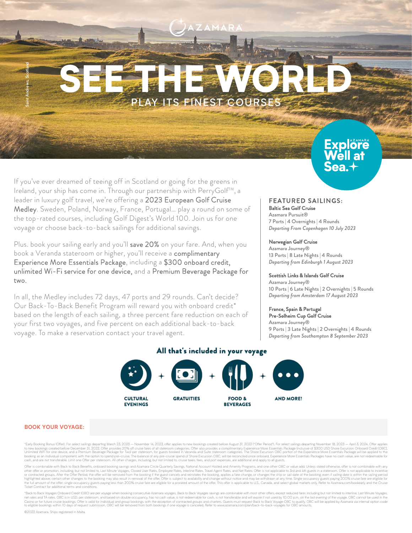# SEE THWORE PLAY ITS FINEST COURS

If you've ever dreamed of teeing off in Scotland or going for the greens in Ireland, your ship has come in. Through our partnership with PerryGolf<sup>TM</sup>, a leader in luxury golf travel, we're offering a 2023 European Golf Cruise Medley. Sweden, Poland, Norway, France, Portugal… play a round on some of the top-rated courses, including Golf Digest's World 100. Join us for one voyage or choose back-to-back sailings for additional savings.

Plus. book your sailing early and you'll save 20% on your fare. And, when you book a Veranda stateroom or higher, you'll receive a complimentary Experience More Essentials Package, including a \$300 onboard credit, unlimited Wi-Fi service for one device, and a Premium Beverage Package for two.

In all, the Medley includes 72 days, 47 ports and 29 rounds. Can't decide? Our Back-To-Back Benefit Program will reward you with onboard credit\* based on the length of each sailing, a three percent fare reduction on each of your first two voyages, and five percent on each additional back-to-back voyage. To make a reservation contact your travel agent.

## FEATURED SAILINGS:

Baltic Sea Golf Cruise Azamara Pursuit® 7 Ports | 4 Overnights | 4 Rounds *Departing From Copenhagen 10 July 2023*

**Explôre** 

#### Norwegian Golf Cruise

Azamara Journey® 13 Ports | 8 Late Nights | 4 Rounds *Departing from Edinburgh 1 August 2023*

#### Scottish Links & Islands Golf Cruise

Azamara Journey® 10 Ports | 6 Late Nights | 2 Overnights | 5 Rounds *Departing from Amsterdam 17 August 2023*

#### France, Spain & Portugal

Pre-Solheim Cup Golf Cruise Azamara Journey® 9 Ports | 3 Late Nights | 2 Overnights | 4 Rounds *Departing from Southampton 8 September 2023*



### All that's included in your voyage

#### **BOOK YOUR VOYAGE:**

Saint Andrews, Scotland

"Early Booking Bonus (Offer): For select sailings departing March 23, 2023 - November 14, 2023, offer applies to new bookings created before August 31, 2022 ("Offer Period"). For select sailings departing November 18, 2023 to new bookings created before December 31, 2022. Offer provides 20% off cruise fares of all stateroom categories. Offer also provides a complimentary Experience More Essemitals Package (inclusive of \$300 USD Shore Excursi

Offer is combinable with Back to Back Benefits, onboard booking savings and Azamara Circle Quarterly Savings, National Account Hostel and Amenity Programs, and one of her Offer is not spalicable to incentive of contracted Ticket Contract for additional terms and conditions.

"Back to Back Voyages Onboard Credit (OBC) are per voyage when booking consecutive Azamara voyages. Back to Back Voyages savings are combinable with most other offers, except reduced fares including but not limited to inte to eligible bookings within 10 days of request submission. OBC will be removed from both bookings if one voyage is canceled. Refer to www.azamara.com/plan/back-to-back-voyages for OBC amo